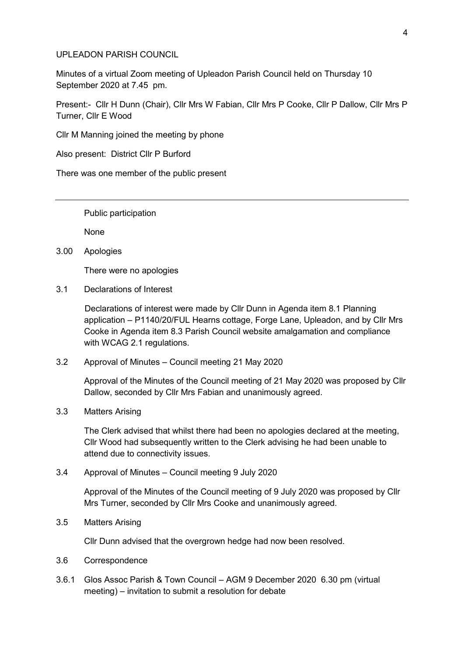#### UPLEADON PARISH COUNCIL

Minutes of a virtual Zoom meeting of Upleadon Parish Council held on Thursday 10 September 2020 at 7.45 pm.

Present:- Cllr H Dunn (Chair), Cllr Mrs W Fabian, Cllr Mrs P Cooke, Cllr P Dallow, Cllr Mrs P Turner, Cllr E Wood

Cllr M Manning joined the meeting by phone

Also present: District Cllr P Burford

There was one member of the public present

Public participation

None

3.00 Apologies

There were no apologies

3.1 Declarations of Interest

Declarations of interest were made by Cllr Dunn in Agenda item 8.1 Planning application – P1140/20/FUL Hearns cottage, Forge Lane, Upleadon, and by Cllr Mrs Cooke in Agenda item 8.3 Parish Council website amalgamation and compliance with WCAG 2.1 regulations.

3.2 Approval of Minutes – Council meeting 21 May 2020

Approval of the Minutes of the Council meeting of 21 May 2020 was proposed by Cllr Dallow, seconded by Cllr Mrs Fabian and unanimously agreed.

3.3 Matters Arising

The Clerk advised that whilst there had been no apologies declared at the meeting, Cllr Wood had subsequently written to the Clerk advising he had been unable to attend due to connectivity issues.

3.4 Approval of Minutes – Council meeting 9 July 2020

Approval of the Minutes of the Council meeting of 9 July 2020 was proposed by Cllr Mrs Turner, seconded by Cllr Mrs Cooke and unanimously agreed.

3.5 Matters Arising

Cllr Dunn advised that the overgrown hedge had now been resolved.

- 3.6 Correspondence
- 3.6.1 Glos Assoc Parish & Town Council AGM 9 December 2020 6.30 pm (virtual meeting) – invitation to submit a resolution for debate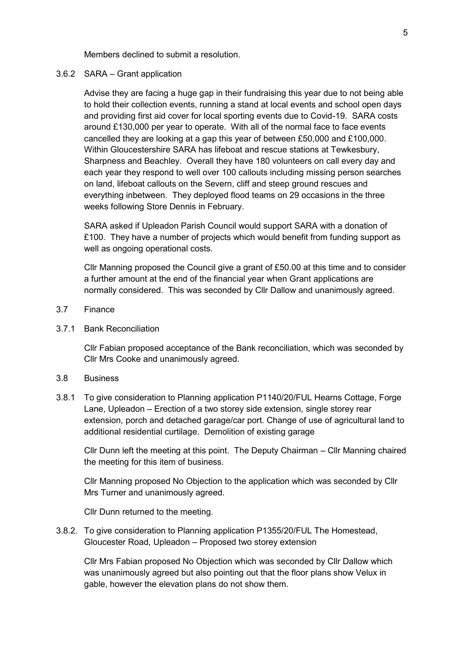Members declined to submit a resolution.

### 3.6.2 SARA – Grant application

Advise they are facing a huge gap in their fundraising this year due to not being able to hold their collection events, running a stand at local events and school open days and providing first aid cover for local sporting events due to Covid-19. SARA costs around £130,000 per year to operate. With all of the normal face to face events cancelled they are looking at a gap this year of between £50,000 and £100,000. Within Gloucestershire SARA has lifeboat and rescue stations at Tewkesbury, Sharpness and Beachley. Overall they have 180 volunteers on call every day and each year they respond to well over 100 callouts including missing person searches on land, lifeboat callouts on the Severn, cliff and steep ground rescues and everything inbetween. They deployed flood teams on 29 occasions in the three weeks following Store Dennis in February.

SARA asked if Upleadon Parish Council would support SARA with a donation of £100. They have a number of projects which would benefit from funding support as well as ongoing operational costs.

Cllr Manning proposed the Council give a grant of £50.00 at this time and to consider a further amount at the end of the financial year when Grant applications are normally considered. This was seconded by Cllr Dallow and unanimously agreed.

## 3.7 Finance

# 3.7.1 Bank Reconciliation

Cllr Fabian proposed acceptance of the Bank reconciliation, which was seconded by Cllr Mrs Cooke and unanimously agreed.

### 3.8 Business

3.8.1 To give consideration to Planning application P1140/20/FUL Hearns Cottage, Forge Lane, Upleadon – Erection of a two storey side extension, single storey rear extension, porch and detached garage/car port. Change of use of agricultural land to additional residential curtilage. Demolition of existing garage

Cllr Dunn left the meeting at this point. The Deputy Chairman – Cllr Manning chaired the meeting for this item of business.

Cllr Manning proposed No Objection to the application which was seconded by Cllr Mrs Turner and unanimously agreed.

Cllr Dunn returned to the meeting.

3.8.2. To give consideration to Planning application P1355/20/FUL The Homestead, Gloucester Road, Upleadon – Proposed two storey extension

Cllr Mrs Fabian proposed No Objection which was seconded by Cllr Dallow which was unanimously agreed but also pointing out that the floor plans show Velux in gable, however the elevation plans do not show them.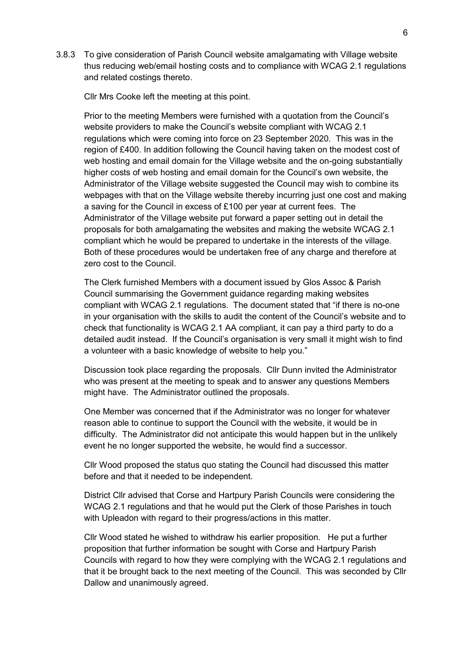3.8.3 To give consideration of Parish Council website amalgamating with Village website thus reducing web/email hosting costs and to compliance with WCAG 2.1 regulations and related costings thereto.

Cllr Mrs Cooke left the meeting at this point.

Prior to the meeting Members were furnished with a quotation from the Council's website providers to make the Council's website compliant with WCAG 2.1 regulations which were coming into force on 23 September 2020. This was in the region of £400. In addition following the Council having taken on the modest cost of web hosting and email domain for the Village website and the on-going substantially higher costs of web hosting and email domain for the Council's own website, the Administrator of the Village website suggested the Council may wish to combine its webpages with that on the Village website thereby incurring just one cost and making a saving for the Council in excess of £100 per year at current fees. The Administrator of the Village website put forward a paper setting out in detail the proposals for both amalgamating the websites and making the website WCAG 2.1 compliant which he would be prepared to undertake in the interests of the village. Both of these procedures would be undertaken free of any charge and therefore at zero cost to the Council.

The Clerk furnished Members with a document issued by Glos Assoc & Parish Council summarising the Government guidance regarding making websites compliant with WCAG 2.1 regulations. The document stated that "if there is no-one in your organisation with the skills to audit the content of the Council's website and to check that functionality is WCAG 2.1 AA compliant, it can pay a third party to do a detailed audit instead. If the Council's organisation is very small it might wish to find a volunteer with a basic knowledge of website to help you."

Discussion took place regarding the proposals. Cllr Dunn invited the Administrator who was present at the meeting to speak and to answer any questions Members might have. The Administrator outlined the proposals.

One Member was concerned that if the Administrator was no longer for whatever reason able to continue to support the Council with the website, it would be in difficulty. The Administrator did not anticipate this would happen but in the unlikely event he no longer supported the website, he would find a successor.

Cllr Wood proposed the status quo stating the Council had discussed this matter before and that it needed to be independent.

District Cllr advised that Corse and Hartpury Parish Councils were considering the WCAG 2.1 regulations and that he would put the Clerk of those Parishes in touch with Upleadon with regard to their progress/actions in this matter.

Cllr Wood stated he wished to withdraw his earlier proposition. He put a further proposition that further information be sought with Corse and Hartpury Parish Councils with regard to how they were complying with the WCAG 2.1 regulations and that it be brought back to the next meeting of the Council. This was seconded by Cllr Dallow and unanimously agreed.